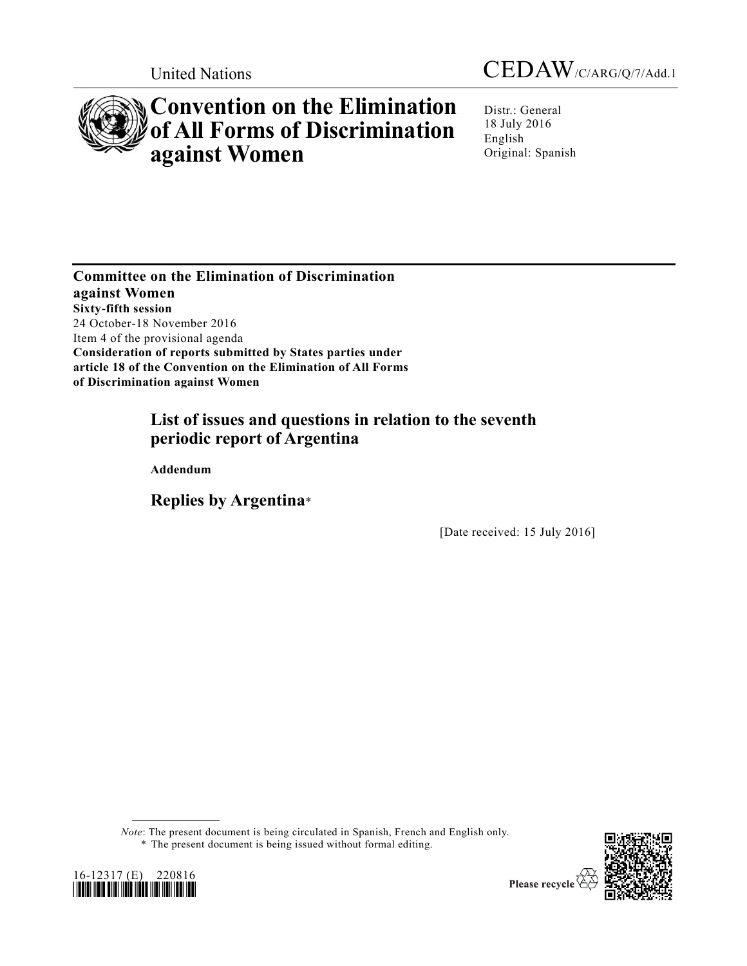



# **Convention on the Elimination of All Forms of Discrimination against Women**

Distr.: General 18 July 2016 English Original: Spanish

**Committee on the Elimination of Discrimination against Women Sixty-fifth session** 24 October-18 November 2016 Item 4 of the provisional agenda **Consideration of reports submitted by States parties under article 18 of the Convention on the Elimination of All Forms of Discrimination against Women** 

# **List of issues and questions in relation to the seventh periodic report of Argentina**

**Addendum**

**Replies by Argentina**\*

[Date received: 15 July 2016]

*Note*: The present document is being circulated in Spanish, French and English only. \* The present document is being issued without formal editing.



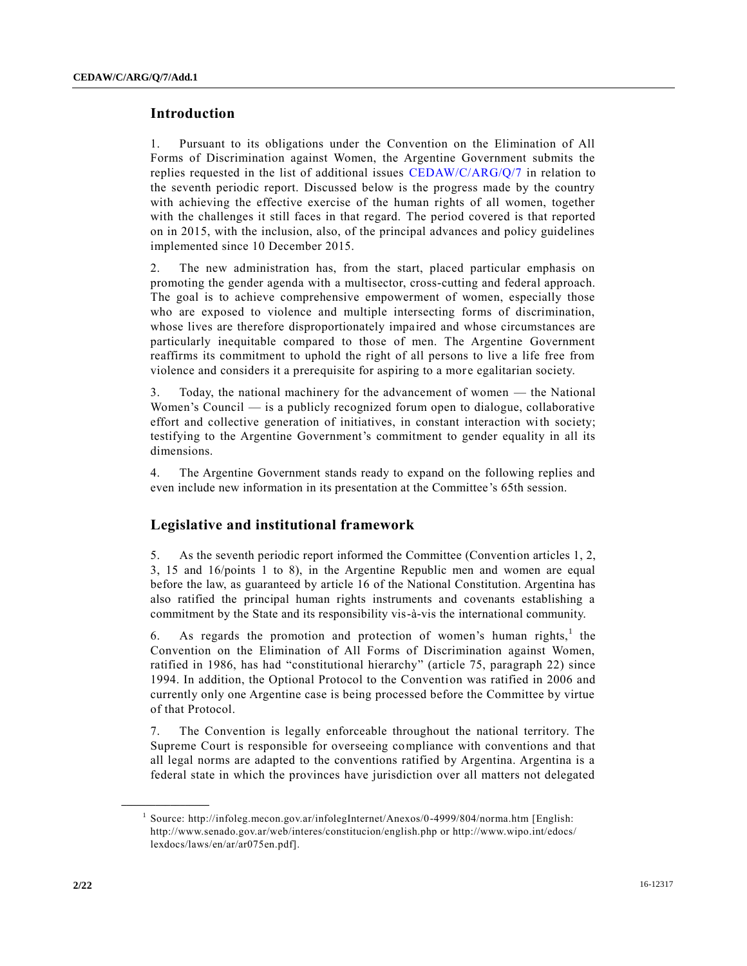### **Introduction**

1. Pursuant to its obligations under the Convention on the Elimination of All Forms of Discrimination against Women, the Argentine Government submits the replies requested in the list of additional issues [CEDAW/C/ARG/Q/7](http://undocs.org/CEDAW/C/ARG/Q/7) in relation to the seventh periodic report. Discussed below is the progress made by the country with achieving the effective exercise of the human rights of all women, together with the challenges it still faces in that regard. The period covered is that reported on in 2015, with the inclusion, also, of the principal advances and policy guidelines implemented since 10 December 2015.

2. The new administration has, from the start, placed particular emphasis on promoting the gender agenda with a multisector, cross-cutting and federal approach. The goal is to achieve comprehensive empowerment of women, especially those who are exposed to violence and multiple intersecting forms of discrimination, whose lives are therefore disproportionately impaired and whose circumstances are particularly inequitable compared to those of men. The Argentine Government reaffirms its commitment to uphold the right of all persons to live a life free from violence and considers it a prerequisite for aspiring to a mor e egalitarian society.

3. Today, the national machinery for the advancement of women — the National Women's Council — is a publicly recognized forum open to dialogue, collaborative effort and collective generation of initiatives, in constant interaction with society; testifying to the Argentine Government's commitment to gender equality in all its dimensions.

4. The Argentine Government stands ready to expand on the following replies and even include new information in its presentation at the Committee's 65th session.

### **Legislative and institutional framework**

5. As the seventh periodic report informed the Committee (Convention articles 1, 2, 3, 15 and 16/points 1 to 8), in the Argentine Republic men and women are equal before the law, as guaranteed by article 16 of the National Constitution. Argentina has also ratified the principal human rights instruments and covenants establishing a commitment by the State and its responsibility vis-à-vis the international community.

6. As regards the promotion and protection of women's human rights,<sup>1</sup> the Convention on the Elimination of All Forms of Discrimination against Women, ratified in 1986, has had "constitutional hierarchy" (article 75, paragraph 22) since 1994. In addition, the Optional Protocol to the Convention was ratified in 2006 and currently only one Argentine case is being processed before the Committee by virtue of that Protocol.

7. The Convention is legally enforceable throughout the national territory. The Supreme Court is responsible for overseeing compliance with conventions and that all legal norms are adapted to the conventions ratified by Argentina. Argentina is a federal state in which the provinces have jurisdiction over all matters not delegated

<sup>&</sup>lt;sup>1</sup> Source: http://infoleg.mecon.gov.ar/infolegInternet/Anexos/0-4999/804/norma.htm [English: http://www.senado.gov.ar/web/interes/constitucion/english.php or http://www.wipo.int/edocs/ lexdocs/laws/en/ar/ar075en.pdf].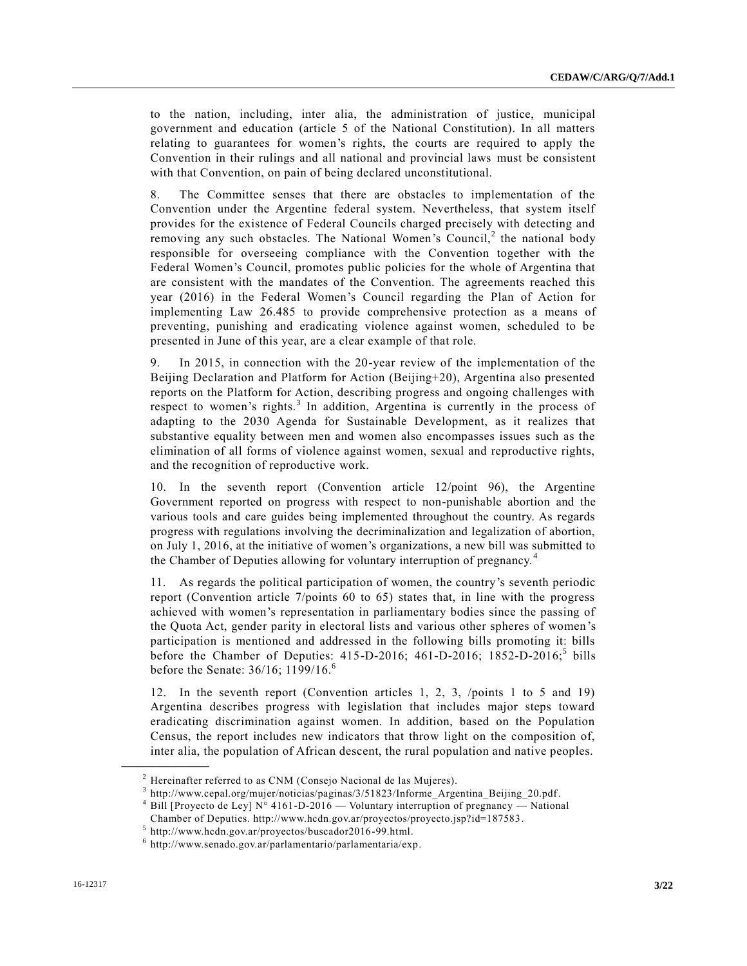to the nation, including, inter alia, the administration of justice, municipal government and education (article 5 of the National Constitution). In all matters relating to guarantees for women's rights, the courts are required to apply the Convention in their rulings and all national and provincial laws must be consistent with that Convention, on pain of being declared unconstitutional.

8. The Committee senses that there are obstacles to implementation of the Convention under the Argentine federal system. Nevertheless, that system itself provides for the existence of Federal Councils charged precisely with detecting and removing any such obstacles. The National Women's Council,<sup>2</sup> the national body responsible for overseeing compliance with the Convention together with the Federal Women's Council, promotes public policies for the whole of Argentina that are consistent with the mandates of the Convention. The agreements reached this year (2016) in the Federal Women's Council regarding the Plan of Action for implementing Law 26.485 to provide comprehensive protection as a means of preventing, punishing and eradicating violence against women, scheduled to be presented in June of this year, are a clear example of that role.

9. In 2015, in connection with the 20-year review of the implementation of the Beijing Declaration and Platform for Action (Beijing+20), Argentina also presented reports on the Platform for Action, describing progress and ongoing challenges with respect to women's rights.<sup>3</sup> In addition, Argentina is currently in the process of adapting to the 2030 Agenda for Sustainable Development, as it realizes that substantive equality between men and women also encompasses issues such as the elimination of all forms of violence against women, sexual and reproductive rights, and the recognition of reproductive work.

10. In the seventh report (Convention article 12/point 96), the Argentine Government reported on progress with respect to non-punishable abortion and the various tools and care guides being implemented throughout the country. As regards progress with regulations involving the decriminalization and legalization of abortion, on July 1, 2016, at the initiative of women's organizations, a new bill was submitted to the Chamber of Deputies allowing for voluntary interruption of pregnancy. <sup>4</sup>

11. As regards the political participation of women, the country's seventh periodic report (Convention article 7/points 60 to 65) states that, in line with the progress achieved with women's representation in parliamentary bodies since the passing of the Quota Act, gender parity in electoral lists and various other spheres of women's participation is mentioned and addressed in the following bills promoting it: bills before the Chamber of Deputies:  $415-D-2016$ ;  $461-D-2016$ ;  $1852-D-2016$ ;  $5 \text{ bills}$ before the Senate: 36/16; 1199/16.<sup>6</sup>

12. In the seventh report (Convention articles 1, 2, 3, /points 1 to 5 and 19) Argentina describes progress with legislation that includes major steps toward eradicating discrimination against women. In addition, based on the Population Census, the report includes new indicators that throw light on the composition of, inter alia, the population of African descent, the rural population and native peoples.

<sup>2</sup> Hereinafter referred to as CNM (Consejo Nacional de las Mujeres).

<sup>&</sup>lt;sup>3</sup> http://www.cepal.org/mujer/noticias/paginas/3/51823/Informe\_Argentina\_Beijing\_20.pdf.

<sup>&</sup>lt;sup>4</sup> Bill [Proyecto de Ley] N° 4161-D-2016 — Voluntary interruption of pregnancy — National Chamber of Deputies. http://www.hcdn.gov.ar/proyectos/proyecto.jsp?id=187583.

 $5$  http://www.hcdn.gov.ar/proyectos/buscador2016-99.html.

<sup>6</sup> http://www.senado.gov.ar/parlamentario/parlamentaria/exp.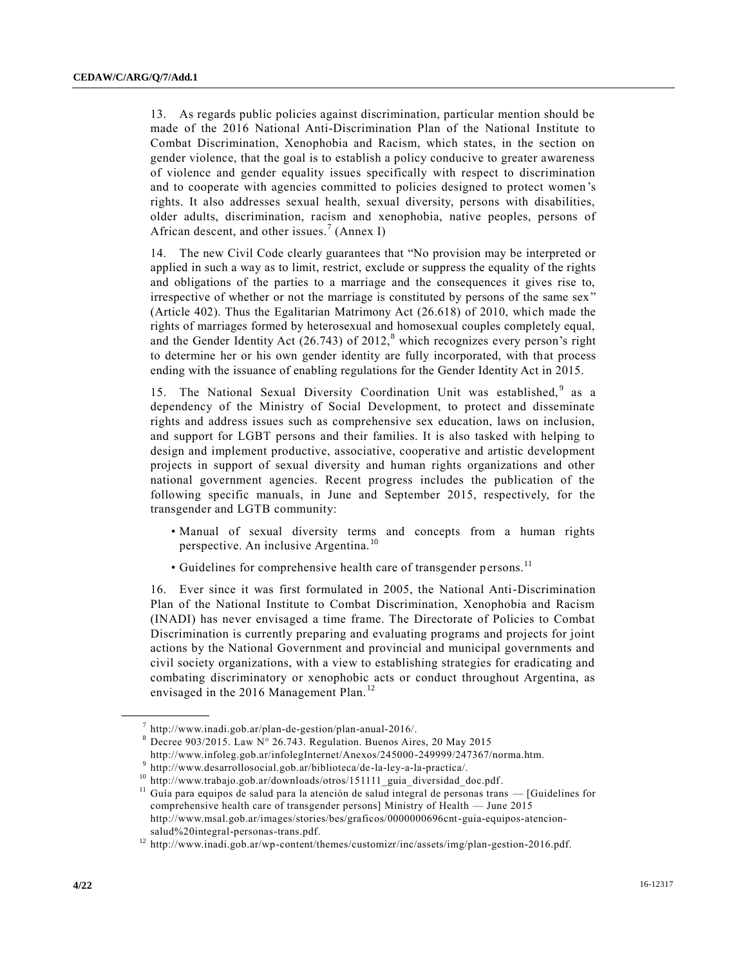13. As regards public policies against discrimination, particular mention should be made of the 2016 National Anti-Discrimination Plan of the National Institute to Combat Discrimination, Xenophobia and Racism, which states, in the section on gender violence, that the goal is to establish a policy conducive to greater awareness of violence and gender equality issues specifically with respect to discrimination and to cooperate with agencies committed to policies designed to protect women 's rights. It also addresses sexual health, sexual diversity, persons with disabilities, older adults, discrimination, racism and xenophobia, native peoples, persons of African descent, and other issues.<sup>7</sup> (Annex I)

14. The new Civil Code clearly guarantees that "No provision may be interpreted or applied in such a way as to limit, restrict, exclude or suppress the equality of the rights and obligations of the parties to a marriage and the consequences it gives rise to, irrespective of whether or not the marriage is constituted by persons of the same sex" (Article 402). Thus the Egalitarian Matrimony Act (26.618) of 2010, which made the rights of marriages formed by heterosexual and homosexual couples completely equal, and the Gender Identity Act  $(26.743)$  of  $2012$ ,<sup>8</sup> which recognizes every person's right to determine her or his own gender identity are fully incorporated, with that process ending with the issuance of enabling regulations for the Gender Identity Act in 2015.

15. The National Sexual Diversity Coordination Unit was established,<sup>9</sup> as a dependency of the Ministry of Social Development, to protect and disseminate rights and address issues such as comprehensive sex education, laws on inclusion, and support for LGBT persons and their families. It is also tasked with helping to design and implement productive, associative, cooperative and artistic development projects in support of sexual diversity and human rights organizations and other national government agencies. Recent progress includes the publication of the following specific manuals, in June and September 2015, respectively, for the transgender and LGTB community:

- Manual of sexual diversity terms and concepts from a human rights perspective. An inclusive Argentina.<sup>10</sup>
- Guidelines for comprehensive health care of transgender persons.<sup>11</sup>

16. Ever since it was first formulated in 2005, the National Anti-Discrimination Plan of the National Institute to Combat Discrimination, Xenophobia and Racism (INADI) has never envisaged a time frame. The Directorate of Policies to Combat Discrimination is currently preparing and evaluating programs and projects for joint actions by the National Government and provincial and municipal governments and civil society organizations, with a view to establishing strategies for eradicating and combating discriminatory or xenophobic acts or conduct throughout Argentina, as envisaged in the 2016 Management Plan.<sup>12</sup>

<sup>7</sup> http://www.inadi.gob.ar/plan-de-gestion/plan-anual-2016/.

 $8$  Decree 903/2015. Law N° 26.743. Regulation. Buenos Aires, 20 May 2015

http://www.infoleg.gob.ar/infolegInternet/Anexos/245000-249999/247367/norma.htm.

<sup>&</sup>lt;sup>9</sup> http://www.desarrollosocial.gob.ar/biblioteca/de-la-ley-a-la-practica/.

<sup>10</sup> http://www.trabajo.gob.ar/downloads/otros/151111\_guia\_diversidad\_doc.pdf.

 $11$  Guía para equipos de salud para la atención de salud integral de personas trans  $-$  [Guidelines for comprehensive health care of transgender persons] Ministry of Health — June 2015 http://www.msal.gob.ar/images/stories/bes/graficos/0000000696cnt-guia-equipos-atencionsalud%20integral-personas-trans.pdf.

<sup>&</sup>lt;sup>12</sup> http://www.inadi.gob.ar/wp-content/themes/customizr/inc/assets/img/plan-gestion-2016.pdf.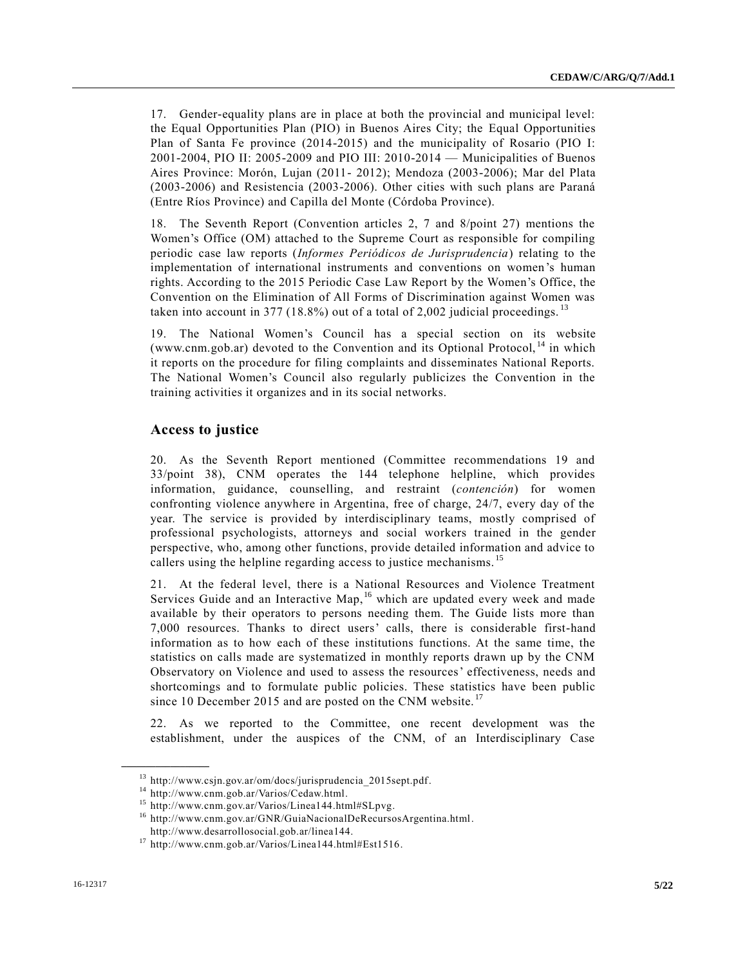17. Gender-equality plans are in place at both the provincial and municipal level: the Equal Opportunities Plan (PIO) in Buenos Aires City; the Equal Opportunities Plan of Santa Fe province (2014-2015) and the municipality of Rosario (PIO I: 2001-2004, PIO II: 2005-2009 and PIO III: 2010-2014 — Municipalities of Buenos Aires Province: Morón, Lujan (2011- 2012); Mendoza (2003-2006); Mar del Plata (2003-2006) and Resistencia (2003-2006). Other cities with such plans are Paraná (Entre Ríos Province) and Capilla del Monte (Córdoba Province).

18. The Seventh Report (Convention articles 2, 7 and 8/point 27) mentions the Women's Office (OM) attached to the Supreme Court as responsible for compiling periodic case law reports (*Informes Periódicos de Jurisprudencia*) relating to the implementation of international instruments and conventions on women's human rights. According to the 2015 Periodic Case Law Report by the Women's Office, the Convention on the Elimination of All Forms of Discrimination against Women was taken into account in 377 (18.8%) out of a total of 2,002 judicial proceedings.  $^{13}$ 

19. The National Women's Council has a special section on its website (www.cnm.gob.ar) devoted to the Convention and its Optional Protocol, <sup>14</sup> in which it reports on the procedure for filing complaints and disseminates National Reports. The National Women's Council also regularly publicizes the Convention in the training activities it organizes and in its social networks.

# **Access to justice**

20. As the Seventh Report mentioned (Committee recommendations 19 and 33/point 38), CNM operates the 144 telephone helpline, which provides information, guidance, counselling, and restraint (*contención*) for women confronting violence anywhere in Argentina, free of charge, 24/7, every day of the year. The service is provided by interdisciplinary teams, mostly comprised of professional psychologists, attorneys and social workers trained in the gender perspective, who, among other functions, provide detailed information and advice to callers using the helpline regarding access to justice mechanisms.<sup>15</sup>

21. At the federal level, there is a National Resources and Violence Treatment Services Guide and an Interactive Map,<sup>16</sup> which are updated every week and made available by their operators to persons needing them. The Guide lists more than 7,000 resources. Thanks to direct users' calls, there is considerable first-hand information as to how each of these institutions functions. At the same time, the statistics on calls made are systematized in monthly reports drawn up by the CNM Observatory on Violence and used to assess the resources' effectiveness, needs and shortcomings and to formulate public policies. These statistics have been public since 10 December 2015 and are posted on the CNM website.<sup>17</sup>

22. As we reported to the Committee, one recent development was the establishment, under the auspices of the CNM, of an Interdisciplinary Case

<sup>13</sup> http://www.csjn.gov.ar/om/docs/jurisprudencia\_2015sept.pdf.

<sup>14</sup> http://www.cnm.gob.ar/Varios/Cedaw.html.

<sup>15</sup> http://www.cnm.gov.ar/Varios/Linea144.html#SLpvg.

<sup>&</sup>lt;sup>16</sup> http://www.cnm.gov.ar/GNR/GuiaNacionalDeRecursosArgentina.html. http://www.desarrollosocial.gob.ar/linea144.

<sup>17</sup> http://www.cnm.gob.ar/Varios/Linea144.html#Est1516.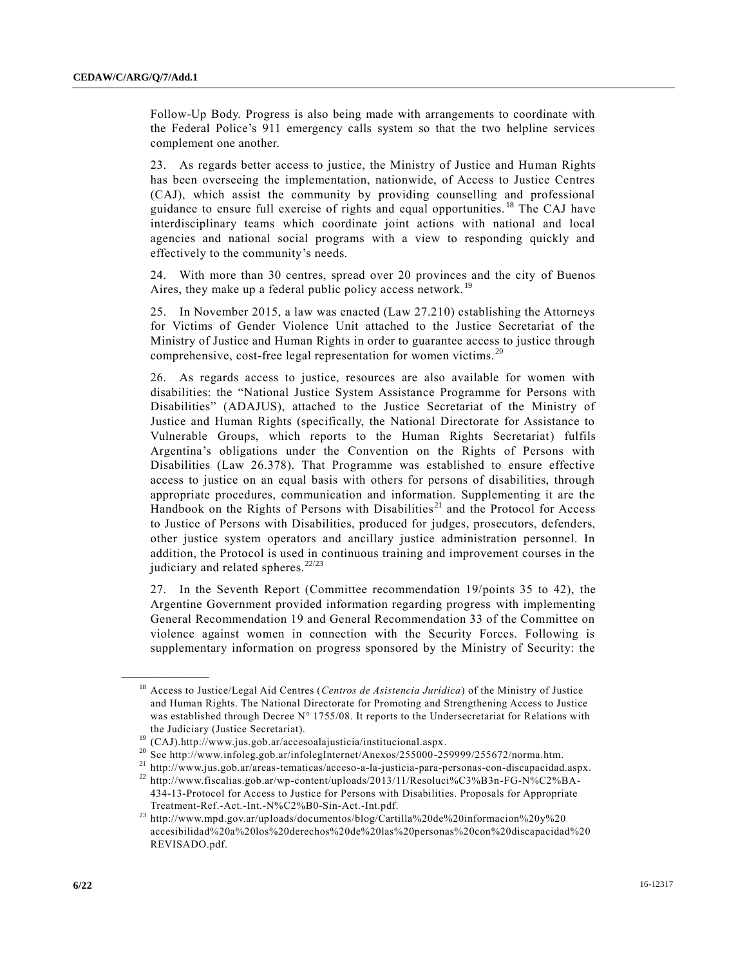Follow-Up Body. Progress is also being made with arrangements to coordinate with the Federal Police's 911 emergency calls system so that the two helpline services complement one another.

23. As regards better access to justice, the Ministry of Justice and Human Rights has been overseeing the implementation, nationwide, of Access to Justice Centres (CAJ), which assist the community by providing counselling and professional guidance to ensure full exercise of rights and equal opportunities. <sup>18</sup> The CAJ have interdisciplinary teams which coordinate joint actions with national and local agencies and national social programs with a view to responding quickly and effectively to the community's needs.

24. With more than 30 centres, spread over 20 provinces and the city of Buenos Aires, they make up a federal public policy access network.<sup>19</sup>

25. In November 2015, a law was enacted (Law 27.210) establishing the Attorneys for Victims of Gender Violence Unit attached to the Justice Secretariat of the Ministry of Justice and Human Rights in order to guarantee access to justice through comprehensive, cost-free legal representation for women victims. <sup>20</sup>

26. As regards access to justice, resources are also available for women with disabilities: the "National Justice System Assistance Programme for Persons with Disabilities" (ADAJUS), attached to the Justice Secretariat of the Ministry of Justice and Human Rights (specifically, the National Directorate for Assistance to Vulnerable Groups, which reports to the Human Rights Secretariat) fulfils Argentina's obligations under the Convention on the Rights of Persons with Disabilities (Law 26.378). That Programme was established to ensure effective access to justice on an equal basis with others for persons of disabilities, through appropriate procedures, communication and information. Supplementing it are the Handbook on the Rights of Persons with Disabilities<sup>21</sup> and the Protocol for Access to Justice of Persons with Disabilities, produced for judges, prosecutors, defenders, other justice system operators and ancillary justice administration personnel. In addition, the Protocol is used in continuous training and improvement courses in the judiciary and related spheres.<sup>22/23</sup>

27. In the Seventh Report (Committee recommendation 19/points 35 to 42), the Argentine Government provided information regarding progress with implementing General Recommendation 19 and General Recommendation 33 of the Committee on violence against women in connection with the Security Forces. Following is supplementary information on progress sponsored by the Ministry of Security: the

<sup>18</sup> Access to Justice/Legal Aid Centres (*Centros de Asistencia Jurídica*) of the Ministry of Justice and Human Rights. The National Directorate for Promoting and Strengthening Access to Justice was established through Decree N° 1755/08. It reports to the Undersecretariat for Relations with the Judiciary (Justice Secretariat).

<sup>19</sup> (CAJ).http://www.jus.gob.ar/accesoalajusticia/institucional.aspx.

<sup>&</sup>lt;sup>20</sup> See http://www.infoleg.gob.ar/infolegInternet/Anexos/255000-259999/255672/norma.htm.

<sup>21</sup> http://www.jus.gob.ar/areas-tematicas/acceso-a-la-justicia-para-personas-con-discapacidad.aspx.

<sup>22</sup> http://www.fiscalias.gob.ar/wp-content/uploads/2013/11/Resoluci%C3%B3n-FG-N%C2%BA-434-13-Protocol for Access to Justice for Persons with Disabilities. Proposals for Appropriate Treatment-Ref.-Act.-Int.-N%C2%B0-Sin-Act.-Int.pdf.

<sup>23</sup> http://www.mpd.gov.ar/uploads/documentos/blog/Cartilla%20de%20informacion%20y%20 accesibilidad%20a%20los%20derechos%20de%20las%20personas%20con%20discapacidad%20 REVISADO.pdf.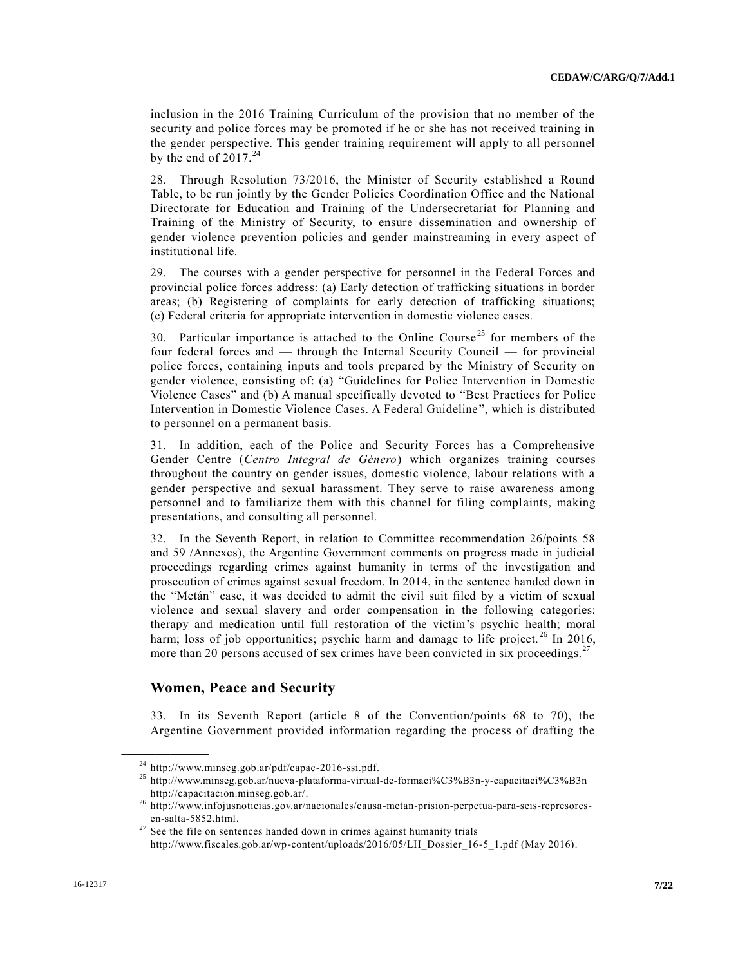inclusion in the 2016 Training Curriculum of the provision that no member of the security and police forces may be promoted if he or she has not received training in the gender perspective. This gender training requirement will apply to all personnel by the end of  $2017.^{24}$ 

28. Through Resolution 73/2016, the Minister of Security established a Round Table, to be run jointly by the Gender Policies Coordination Office and the National Directorate for Education and Training of the Undersecretariat for Planning and Training of the Ministry of Security, to ensure dissemination and ownership of gender violence prevention policies and gender mainstreaming in every aspect of institutional life.

29. The courses with a gender perspective for personnel in the Federal Forces and provincial police forces address: (a) Early detection of trafficking situations in border areas; (b) Registering of complaints for early detection of trafficking situations; (c) Federal criteria for appropriate intervention in domestic violence cases.

30. Particular importance is attached to the Online Course<sup>25</sup> for members of the four federal forces and — through the Internal Security Council — for provincial police forces, containing inputs and tools prepared by the Ministry of Security on gender violence, consisting of: (a) "Guidelines for Police Intervention in Domestic Violence Cases" and (b) A manual specifically devoted to "Best Practices for Police Intervention in Domestic Violence Cases. A Federal Guideline", which is distributed to personnel on a permanent basis.

31. In addition, each of the Police and Security Forces has a Comprehensive Gender Centre (*Centro Integral de Género*) which organizes training courses throughout the country on gender issues, domestic violence, labour relations with a gender perspective and sexual harassment. They serve to raise awareness among personnel and to familiarize them with this channel for filing complaints, making presentations, and consulting all personnel.

32. In the Seventh Report, in relation to Committee recommendation 26/points 58 and 59 /Annexes), the Argentine Government comments on progress made in judicial proceedings regarding crimes against humanity in terms of the investigation and prosecution of crimes against sexual freedom. In 2014, in the sentence handed down in the "Metán" case, it was decided to admit the civil suit filed by a victim of sexual violence and sexual slavery and order compensation in the following categories: therapy and medication until full restoration of the victim's psychic health; moral harm; loss of job opportunities; psychic harm and damage to life project.<sup>26</sup> In 2016, more than 20 persons accused of sex crimes have been convicted in six proceedings.<sup>27</sup>

### **Women, Peace and Security**

**\_\_\_\_\_\_\_\_\_\_\_\_\_\_\_\_\_\_**

33. In its Seventh Report (article 8 of the Convention/points 68 to 70), the Argentine Government provided information regarding the process of drafting the

 $^{24}$  http://www.minseg.gob.ar/pdf/capac-2016-ssi.pdf.

<sup>25</sup> http://www.minseg.gob.ar/nueva-plataforma-virtual-de-formaci%C3%B3n-y-capacitaci%C3%B3n http://capacitacion.minseg.gob.ar/.

<sup>26</sup> http://www.infojusnoticias.gov.ar/nacionales/causa-metan-prision-perpetua-para-seis-represoresen-salta-5852.html.

 $27$  See the file on sentences handed down in crimes against humanity trials http://www.fiscales.gob.ar/wp-content/uploads/2016/05/LH\_Dossier\_16-5\_1.pdf (May 2016).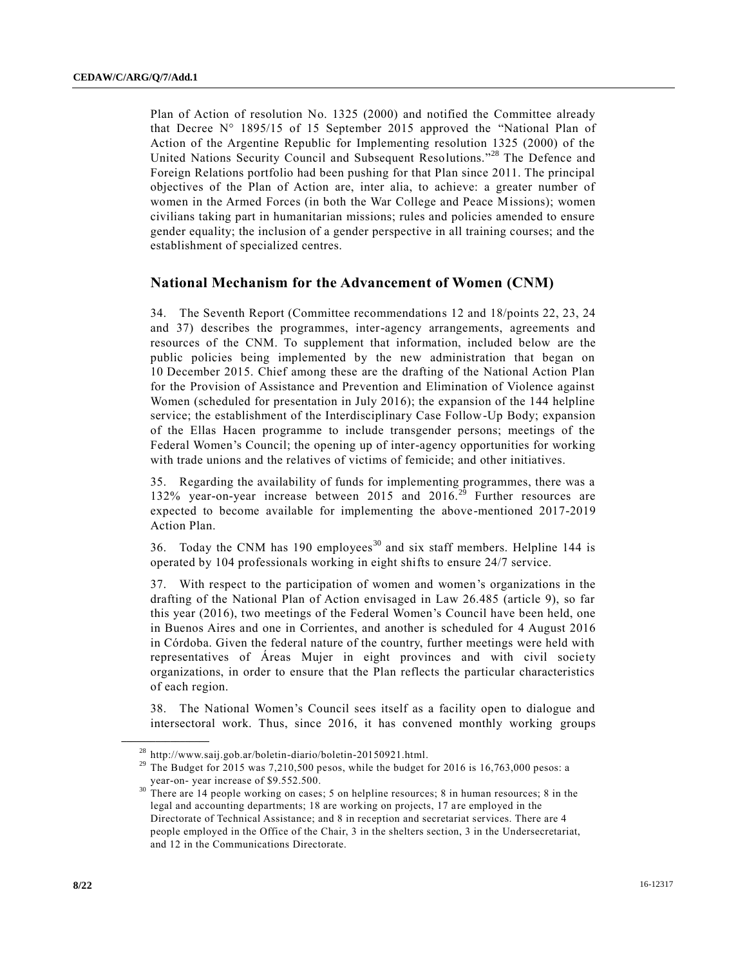Plan of Action of resolution No. 1325 (2000) and notified the Committee already that Decree  $N^{\circ}$  1895/15 of 15 September 2015 approved the "National Plan of Action of the Argentine Republic for Implementing resolution 1325 (2000) of the United Nations Security Council and Subsequent Resolutions."<sup>28</sup> The Defence and Foreign Relations portfolio had been pushing for that Plan since 2011. The principal objectives of the Plan of Action are, inter alia, to achieve: a greater number of women in the Armed Forces (in both the War College and Peace Missions); women civilians taking part in humanitarian missions; rules and policies amended to ensure gender equality; the inclusion of a gender perspective in all training courses; and the establishment of specialized centres.

#### **National Mechanism for the Advancement of Women (CNM)**

34. The Seventh Report (Committee recommendations 12 and 18/points 22, 23, 24 and 37) describes the programmes, inter-agency arrangements, agreements and resources of the CNM. To supplement that information, included below are the public policies being implemented by the new administration that began on 10 December 2015. Chief among these are the drafting of the National Action Plan for the Provision of Assistance and Prevention and Elimination of Violence against Women (scheduled for presentation in July 2016); the expansion of the 144 helpline service; the establishment of the Interdisciplinary Case Follow-Up Body; expansion of the Ellas Hacen programme to include transgender persons; meetings of the Federal Women's Council; the opening up of inter-agency opportunities for working with trade unions and the relatives of victims of femicide; and other initiatives.

35. Regarding the availability of funds for implementing programmes, there was a 132% year-on-year increase between 2015 and 2016.<sup>29</sup> Further resources are expected to become available for implementing the above-mentioned 2017-2019 Action Plan.

36. Today the CNM has 190 employees<sup>30</sup> and six staff members. Helpline 144 is operated by 104 professionals working in eight shifts to ensure 24/7 service.

37. With respect to the participation of women and women's organizations in the drafting of the National Plan of Action envisaged in Law 26.485 (article 9), so far this year (2016), two meetings of the Federal Women's Council have been held, one in Buenos Aires and one in Corrientes, and another is scheduled for 4 August 2016 in Córdoba. Given the federal nature of the country, further meetings were held with representatives of Áreas Mujer in eight provinces and with civil society organizations, in order to ensure that the Plan reflects the particular characteristics of each region.

38. The National Women's Council sees itself as a facility open to dialogue and intersectoral work. Thus, since 2016, it has convened monthly working groups

<sup>28</sup> http://www.saij.gob.ar/boletin-diario/boletin-20150921.html.

<sup>&</sup>lt;sup>29</sup> The Budget for 2015 was 7,210,500 pesos, while the budget for 2016 is 16,763,000 pesos: a year-on- year increase of \$9.552.500.

<sup>&</sup>lt;sup>30</sup> There are 14 people working on cases; 5 on helpline resources; 8 in human resources; 8 in the legal and accounting departments; 18 are working on projects, 17 a re employed in the Directorate of Technical Assistance; and 8 in reception and secretariat services. There are 4 people employed in the Office of the Chair, 3 in the shelters section, 3 in the Undersecretariat, and 12 in the Communications Directorate.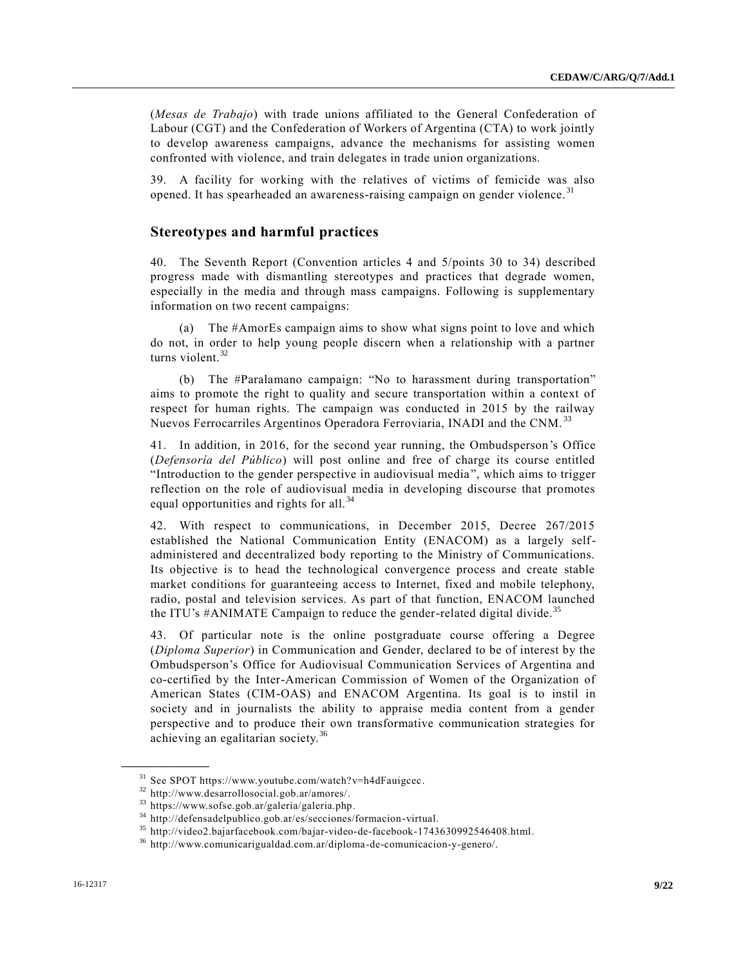(*Mesas de Trabajo*) with trade unions affiliated to the General Confederation of Labour (CGT) and the Confederation of Workers of Argentina (CTA) to work jointly to develop awareness campaigns, advance the mechanisms for assisting women confronted with violence, and train delegates in trade union organizations.

39. A facility for working with the relatives of victims of femicide was also opened. It has spearheaded an awareness-raising campaign on gender violence. <sup>31</sup>

# **Stereotypes and harmful practices**

40. The Seventh Report (Convention articles 4 and 5/points 30 to 34) described progress made with dismantling stereotypes and practices that degrade women, especially in the media and through mass campaigns. Following is supplementary information on two recent campaigns:

(a) The #AmorEs campaign aims to show what signs point to love and which do not, in order to help young people discern when a relationship with a partner turns violent.<sup>32</sup>

(b) The #Paralamano campaign: "No to harassment during transportation" aims to promote the right to quality and secure transportation within a context of respect for human rights. The campaign was conducted in 2015 by the railway Nuevos Ferrocarriles Argentinos Operadora Ferroviaria, INADI and the CNM.<sup>33</sup>

41. In addition, in 2016, for the second year running, the Ombudsperson's Office (*Defensoría del Público*) will post online and free of charge its course entitled "Introduction to the gender perspective in audiovisual media", which aims to trigger reflection on the role of audiovisual media in developing discourse that promotes equal opportunities and rights for all.<sup>34</sup>

42. With respect to communications, in December 2015, Decree 267/2015 established the National Communication Entity (ENACOM) as a largely selfadministered and decentralized body reporting to the Ministry of Communications. Its objective is to head the technological convergence process and create stable market conditions for guaranteeing access to Internet, fixed and mobile telephony, radio, postal and television services. As part of that function, ENACOM launched the ITU's  $\#ANIMATE$  Campaign to reduce the gender-related digital divide.<sup>35</sup>

43. Of particular note is the online postgraduate course offering a Degree (*Diploma Superior*) in Communication and Gender, declared to be of interest by the Ombudsperson's Office for Audiovisual Communication Services of Argentina and co-certified by the Inter-American Commission of Women of the Organization of American States (CIM-OAS) and ENACOM Argentina. Its goal is to instil in society and in journalists the ability to appraise media content from a gender perspective and to produce their own transformative communication strategies for achieving an egalitarian society.<sup>36</sup>

<sup>31</sup> See SPOT https://www.youtube.com/watch?v=h4dFauigcec.

<sup>32</sup> http://www.desarrollosocial.gob.ar/amores/.

<sup>33</sup> https://www.sofse.gob.ar/galeria/galeria.php.

<sup>34</sup> http://defensadelpublico.gob.ar/es/secciones/formacion-virtual.

<sup>35</sup> http://video2.bajarfacebook.com/bajar-video-de-facebook-1743630992546408.html.

<sup>36</sup> http://www.comunicarigualdad.com.ar/diploma-de-comunicacion-y-genero/.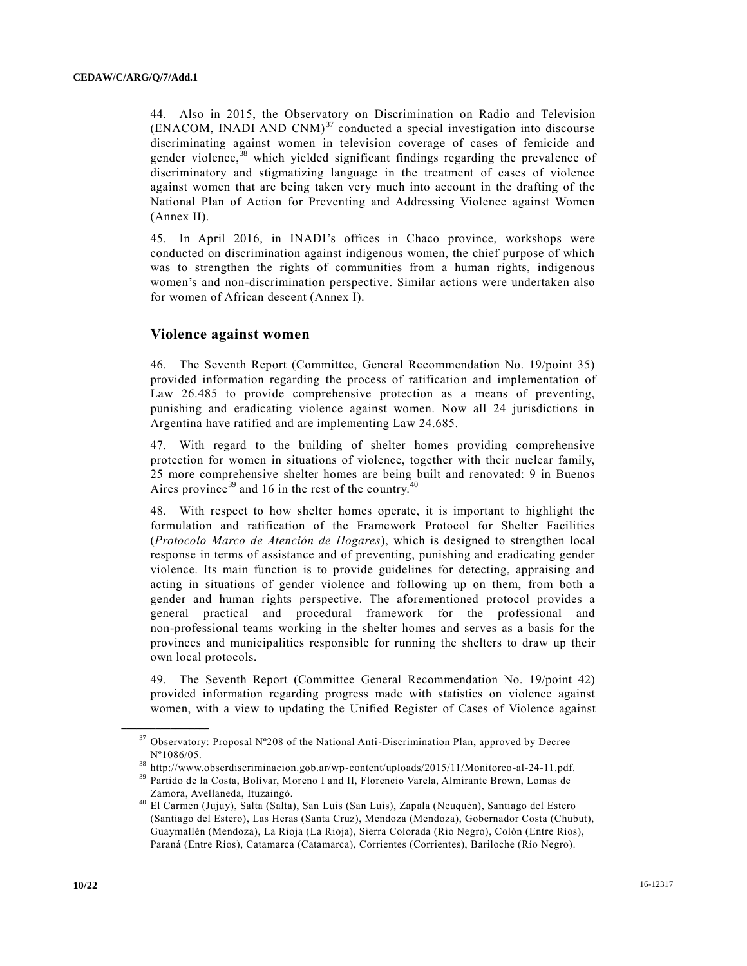44. Also in 2015, the Observatory on Discrimination on Radio and Television (ENACOM, INADI AND CNM) $37$  conducted a special investigation into discourse discriminating against women in television coverage of cases of femicide and gender violence,<sup>38</sup> which yielded significant findings regarding the prevalence of discriminatory and stigmatizing language in the treatment of cases of violence against women that are being taken very much into account in the drafting of the National Plan of Action for Preventing and Addressing Violence against Women (Annex II).

45. In April 2016, in INADI's offices in Chaco province, workshops were conducted on discrimination against indigenous women, the chief purpose of which was to strengthen the rights of communities from a human rights, indigenous women's and non-discrimination perspective. Similar actions were undertaken also for women of African descent (Annex I).

# **Violence against women**

46. The Seventh Report (Committee, General Recommendation No. 19/point 35) provided information regarding the process of ratification and implementation of Law 26.485 to provide comprehensive protection as a means of preventing, punishing and eradicating violence against women. Now all 24 jurisdictions in Argentina have ratified and are implementing Law 24.685.

47. With regard to the building of shelter homes providing comprehensive protection for women in situations of violence, together with their nuclear family, 25 more comprehensive shelter homes are being built and renovated: 9 in Buenos Aires province<sup>39</sup> and 16 in the rest of the country.<sup>40</sup>

48. With respect to how shelter homes operate, it is important to highlight the formulation and ratification of the Framework Protocol for Shelter Facilities (*Protocolo Marco de Atención de Hogares*), which is designed to strengthen local response in terms of assistance and of preventing, punishing and eradicating gender violence. Its main function is to provide guidelines for detecting, appraising and acting in situations of gender violence and following up on them, from both a gender and human rights perspective. The aforementioned protocol provides a general practical and procedural framework for the professional and non-professional teams working in the shelter homes and serves as a basis for the provinces and municipalities responsible for running the shelters to draw up their own local protocols.

49. The Seventh Report (Committee General Recommendation No. 19/point 42) provided information regarding progress made with statistics on violence against women, with a view to updating the Unified Register of Cases of Violence against

 $37$  Observatory: Proposal N°208 of the National Anti-Discrimination Plan, approved by Decree Nº1086/05.

<sup>38</sup> http://www.obserdiscriminacion.gob.ar/wp-content/uploads/2015/11/Monitoreo-al-24-11.pdf.

<sup>39</sup> Partido de la Costa, Bolívar, Moreno I and II, Florencio Varela, Almirante Brown, Lomas de Zamora, Avellaneda, Ituzaingó.

<sup>40</sup> El Carmen (Jujuy), Salta (Salta), San Luis (San Luis), Zapala (Neuquén), Santiago del Estero (Santiago del Estero), Las Heras (Santa Cruz), Mendoza (Mendoza), Gobernador Costa (Chubut), Guaymallén (Mendoza), La Rioja (La Rioja), Sierra Colorada (Rio Negro), Colón (Entre Ríos), Paraná (Entre Ríos), Catamarca (Catamarca), Corrientes (Corrientes), Bariloche (Río Negro).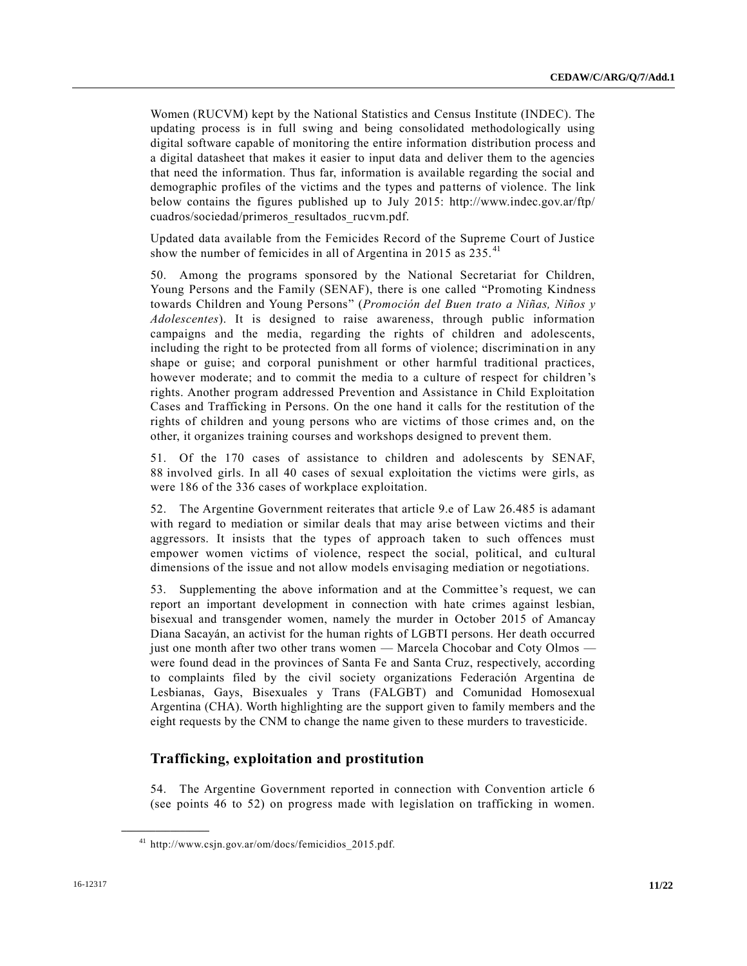Women (RUCVM) kept by the National Statistics and Census Institute (INDEC). The updating process is in full swing and being consolidated methodologically using digital software capable of monitoring the entire information distribution process and a digital datasheet that makes it easier to input data and deliver them to the agencies that need the information. Thus far, information is available regarding the social and demographic profiles of the victims and the types and patterns of violence. The link below contains the figures published up to July 2015: http://www.indec.gov.ar/ftp/ cuadros/sociedad/primeros\_resultados\_rucvm.pdf.

Updated data available from the Femicides Record of the Supreme Court of Justice show the number of femicides in all of Argentina in 2015 as  $235.^{41}$ 

50. Among the programs sponsored by the National Secretariat for Children, Young Persons and the Family (SENAF), there is one called "Promoting Kindness towards Children and Young Persons" (*Promoción del Buen trato a Niñas, Niños y Adolescentes*). It is designed to raise awareness, through public information campaigns and the media, regarding the rights of children and adolescents, including the right to be protected from all forms of violence; discrimination in any shape or guise; and corporal punishment or other harmful traditional practices, however moderate; and to commit the media to a culture of respect for children's rights. Another program addressed Prevention and Assistance in Child Exploitation Cases and Trafficking in Persons. On the one hand it calls for the restitution of the rights of children and young persons who are victims of those crimes and, on the other, it organizes training courses and workshops designed to prevent them.

51. Of the 170 cases of assistance to children and adolescents by SENAF, 88 involved girls. In all 40 cases of sexual exploitation the victims were girls, as were 186 of the 336 cases of workplace exploitation.

52. The Argentine Government reiterates that article 9.e of Law 26.485 is adamant with regard to mediation or similar deals that may arise between victims and their aggressors. It insists that the types of approach taken to such offences must empower women victims of violence, respect the social, political, and cultural dimensions of the issue and not allow models envisaging mediation or negotiations.

53. Supplementing the above information and at the Committee's request, we can report an important development in connection with hate crimes against lesbian, bisexual and transgender women, namely the murder in October 2015 of Amancay Diana Sacayán, an activist for the human rights of LGBTI persons. Her death occurred just one month after two other trans women — Marcela Chocobar and Coty Olmos were found dead in the provinces of Santa Fe and Santa Cruz, respectively, according to complaints filed by the civil society organizations Federación Argentina de Lesbianas, Gays, Bisexuales y Trans (FALGBT) and Comunidad Homosexual Argentina (CHA). Worth highlighting are the support given to family members and the eight requests by the CNM to change the name given to these murders to travesticide.

# **Trafficking, exploitation and prostitution**

54. The Argentine Government reported in connection with Convention article 6 (see points 46 to 52) on progress made with legislation on trafficking in women.

<sup>&</sup>lt;sup>41</sup> http://www.csjn.gov.ar/om/docs/femicidios\_2015.pdf.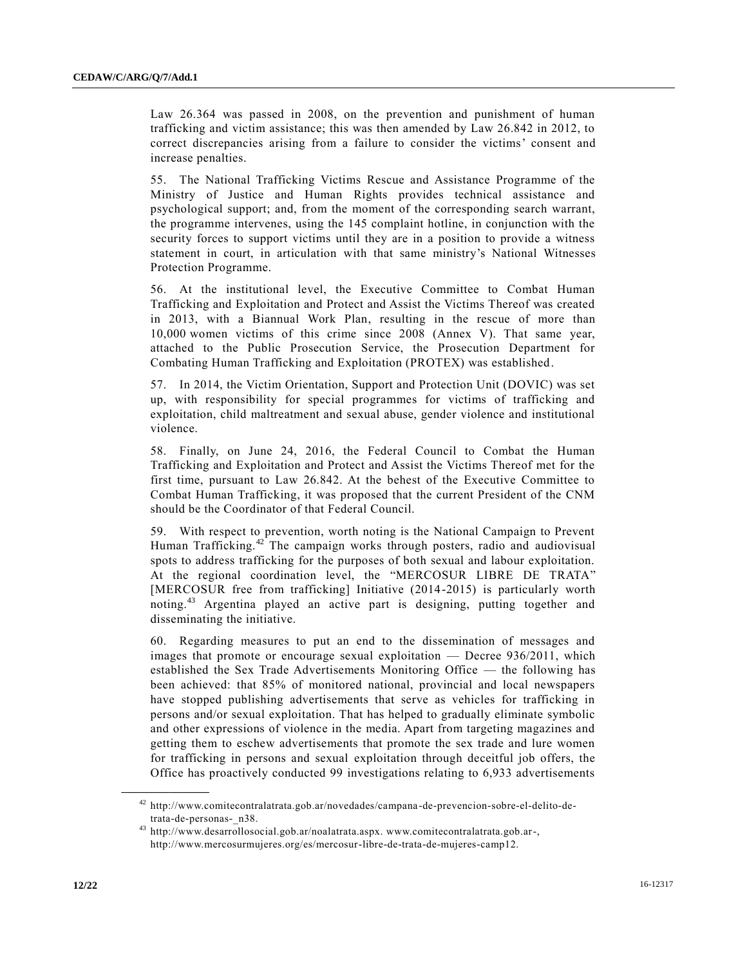Law 26.364 was passed in 2008, on the prevention and punishment of human trafficking and victim assistance; this was then amended by Law 26.842 in 2012, to correct discrepancies arising from a failure to consider the victims' consent and increase penalties.

55. The National Trafficking Victims Rescue and Assistance Programme of the Ministry of Justice and Human Rights provides technical assistance and psychological support; and, from the moment of the corresponding search warrant, the programme intervenes, using the 145 complaint hotline, in conjunction with the security forces to support victims until they are in a position to provide a witness statement in court, in articulation with that same ministry's National Witnesses Protection Programme.

56. At the institutional level, the Executive Committee to Combat Human Trafficking and Exploitation and Protect and Assist the Victims Thereof was created in 2013, with a Biannual Work Plan, resulting in the rescue of more than 10,000 women victims of this crime since 2008 (Annex V). That same year, attached to the Public Prosecution Service, the Prosecution Department for Combating Human Trafficking and Exploitation (PROTEX) was established.

57. In 2014, the Victim Orientation, Support and Protection Unit (DOVIC) was set up, with responsibility for special programmes for victims of trafficking and exploitation, child maltreatment and sexual abuse, gender violence and institutional violence.

58. Finally, on June 24, 2016, the Federal Council to Combat the Human Trafficking and Exploitation and Protect and Assist the Victims Thereof met for the first time, pursuant to Law 26.842. At the behest of the Executive Committee to Combat Human Trafficking, it was proposed that the current President of the CNM should be the Coordinator of that Federal Council.

59. With respect to prevention, worth noting is the National Campaign to Prevent Human Trafficking.<sup>42</sup> The campaign works through posters, radio and audiovisual spots to address trafficking for the purposes of both sexual and labour exploitation. At the regional coordination level, the "MERCOSUR LIBRE DE TRATA" [MERCOSUR free from trafficking] Initiative (2014-2015) is particularly worth noting.<sup>43</sup> Argentina played an active part is designing, putting together and disseminating the initiative.

60. Regarding measures to put an end to the dissemination of messages and images that promote or encourage sexual exploitation — Decree 936/2011, which established the Sex Trade Advertisements Monitoring Office — the following has been achieved: that 85% of monitored national, provincial and local newspapers have stopped publishing advertisements that serve as vehicles for trafficking in persons and/or sexual exploitation. That has helped to gradually eliminate symbolic and other expressions of violence in the media. Apart from targeting magazines and getting them to eschew advertisements that promote the sex trade and lure women for trafficking in persons and sexual exploitation through deceitful job offers, the Office has proactively conducted 99 investigations relating to 6,933 advertisements

<sup>42</sup> http://www.comitecontralatrata.gob.ar/novedades/campana-de-prevencion-sobre-el-delito-detrata-de-personas-\_n38.

<sup>43</sup> http://www.desarrollosocial.gob.ar/noalatrata.aspx. www.comitecontralatrata.gob.ar-, http://www.mercosurmujeres.org/es/mercosur-libre-de-trata-de-mujeres-camp12.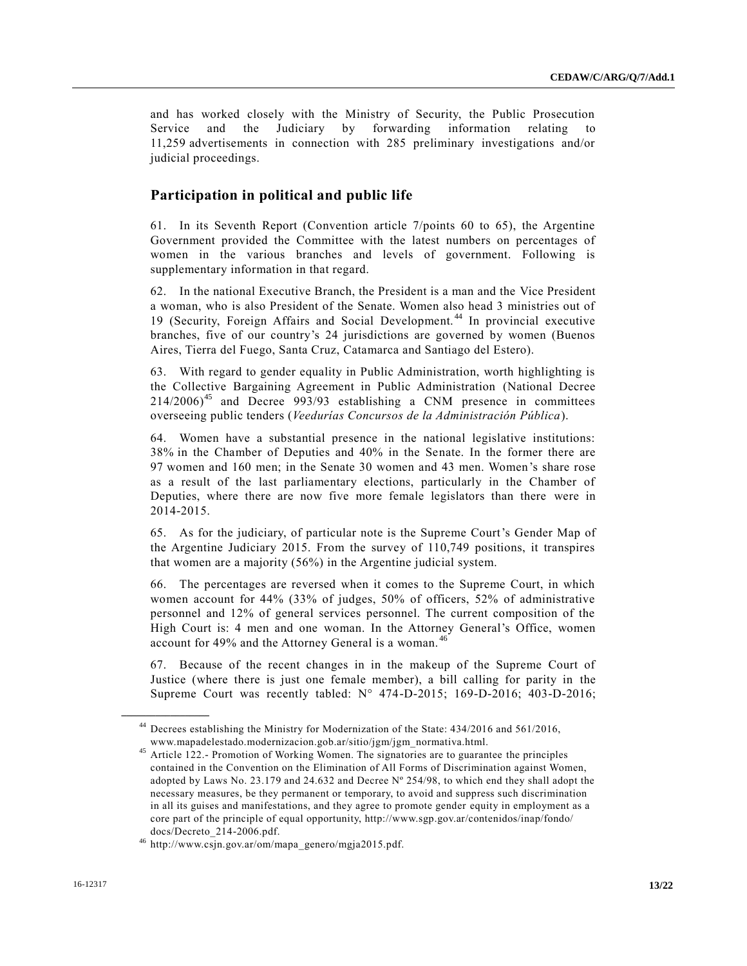and has worked closely with the Ministry of Security, the Public Prosecution Service and the Judiciary by forwarding information relating to 11,259 advertisements in connection with 285 preliminary investigations and/or judicial proceedings.

# **Participation in political and public life**

61. In its Seventh Report (Convention article 7/points 60 to 65), the Argentine Government provided the Committee with the latest numbers on percentages of women in the various branches and levels of government. Following is supplementary information in that regard.

62. In the national Executive Branch, the President is a man and the Vice President a woman, who is also President of the Senate. Women also head 3 ministries out of 19 (Security, Foreign Affairs and Social Development. <sup>44</sup> In provincial executive branches, five of our country's 24 jurisdictions are governed by women (Buenos Aires, Tierra del Fuego, Santa Cruz, Catamarca and Santiago del Estero).

63. With regard to gender equality in Public Administration, worth highlighting is the Collective Bargaining Agreement in Public Administration (National Decree  $214/2006$ <sup>45</sup> and Decree 993/93 establishing a CNM presence in committees overseeing public tenders (*Veedurías Concursos de la Administración Pública*).

64. Women have a substantial presence in the national legislative institutions: 38% in the Chamber of Deputies and 40% in the Senate. In the former there are 97 women and 160 men; in the Senate 30 women and 43 men. Women's share rose as a result of the last parliamentary elections, particularly in the Chamber of Deputies, where there are now five more female legislators than there were in 2014-2015.

65. As for the judiciary, of particular note is the Supreme Court's Gender Map of the Argentine Judiciary 2015. From the survey of 110,749 positions, it transpires that women are a majority (56%) in the Argentine judicial system.

66. The percentages are reversed when it comes to the Supreme Court, in which women account for 44% (33% of judges, 50% of officers, 52% of administrative personnel and 12% of general services personnel. The current composition of the High Court is: 4 men and one woman. In the Attorney General's Office, women account for 49% and the Attorney General is a woman. <sup>46</sup>

67. Because of the recent changes in in the makeup of the Supreme Court of Justice (where there is just one female member), a bill calling for parity in the Supreme Court was recently tabled: N° 474-D-2015; 169-D-2016; 403-D-2016;

<sup>44</sup> Decrees establishing the Ministry for Modernization of the State: 434/2016 and 561/2016, www.mapadelestado.modernizacion.gob.ar/sitio/jgm/jgm\_normativa.html.

<sup>&</sup>lt;sup>45</sup> Article 122.- Promotion of Working Women. The signatories are to guarantee the principles contained in the Convention on the Elimination of All Forms of Discrimination against Women, adopted by Laws No. 23.179 and 24.632 and Decree Nº 254/98, to which end they shall adopt the necessary measures, be they permanent or temporary, to avoid and suppress such discrimination in all its guises and manifestations, and they agree to promote gender equity in employment as a core part of the principle of equal opportunity, http://www.sgp.gov.ar/contenidos/inap/fondo/ docs/Decreto\_214-2006.pdf.

<sup>46</sup> http://www.csjn.gov.ar/om/mapa\_genero/mgja2015.pdf.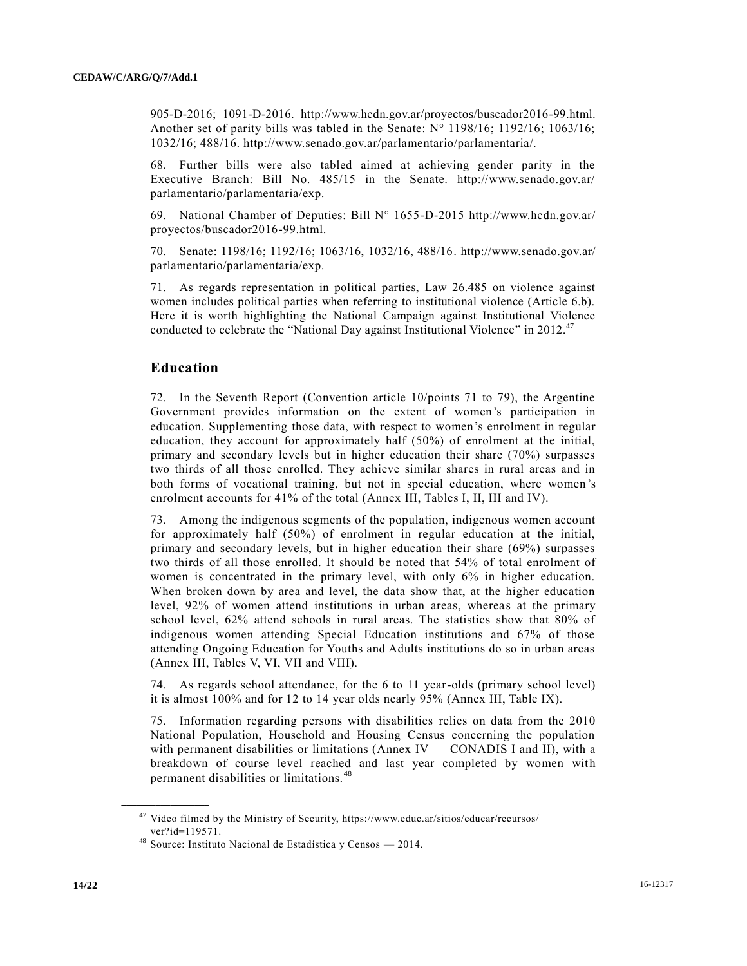905-D-2016; 1091-D-2016. http://www.hcdn.gov.ar/proyectos/buscador2016-99.html. Another set of parity bills was tabled in the Senate:  $N^{\circ}$  1198/16; 1192/16; 1063/16; 1032/16; 488/16. http://www.senado.gov.ar/parlamentario/parlamentaria/.

68. Further bills were also tabled aimed at achieving gender parity in the Executive Branch: Bill No. 485/15 in the Senate. http://www.senado.gov.ar/ parlamentario/parlamentaria/exp.

69. National Chamber of Deputies: Bill N° 1655-D-2015 http://www.hcdn.gov.ar/ proyectos/buscador2016-99.html.

70. Senate: 1198/16; 1192/16; 1063/16, 1032/16, 488/16. http://www.senado.gov.ar/ parlamentario/parlamentaria/exp.

71. As regards representation in political parties, Law 26.485 on violence against women includes political parties when referring to institutional violence (Article 6.b). Here it is worth highlighting the National Campaign against Institutional Violence conducted to celebrate the "National Day against Institutional Violence" in 2012.<sup>47</sup>

### **Education**

72. In the Seventh Report (Convention article 10/points 71 to 79), the Argentine Government provides information on the extent of women's participation in education. Supplementing those data, with respect to women's enrolment in regular education, they account for approximately half (50%) of enrolment at the initial, primary and secondary levels but in higher education their share (70%) surpasses two thirds of all those enrolled. They achieve similar shares in rural areas and in both forms of vocational training, but not in special education, where women 's enrolment accounts for 41% of the total (Annex III, Tables I, II, III and IV).

73. Among the indigenous segments of the population, indigenous women account for approximately half (50%) of enrolment in regular education at the initial, primary and secondary levels, but in higher education their share (69%) surpasses two thirds of all those enrolled. It should be noted that 54% of total enrolment of women is concentrated in the primary level, with only 6% in higher education. When broken down by area and level, the data show that, at the higher education level, 92% of women attend institutions in urban areas, whereas at the primary school level, 62% attend schools in rural areas. The statistics show that 80% of indigenous women attending Special Education institutions and 67% of those attending Ongoing Education for Youths and Adults institutions do so in urban areas (Annex III, Tables V, VI, VII and VIII).

74. As regards school attendance, for the 6 to 11 year-olds (primary school level) it is almost 100% and for 12 to 14 year olds nearly 95% (Annex III, Table IX).

75. Information regarding persons with disabilities relies on data from the 2010 National Population, Household and Housing Census concerning the population with permanent disabilities or limitations (Annex IV — CONADIS I and II), with a breakdown of course level reached and last year completed by women with permanent disabilities or limitations. <sup>48</sup>

 $47$  Video filmed by the Ministry of Security, https://www.educ.ar/sitios/educar/recursos/ ver?id=119571.

<sup>48</sup> Source: Instituto Nacional de Estadística y Censos — 2014.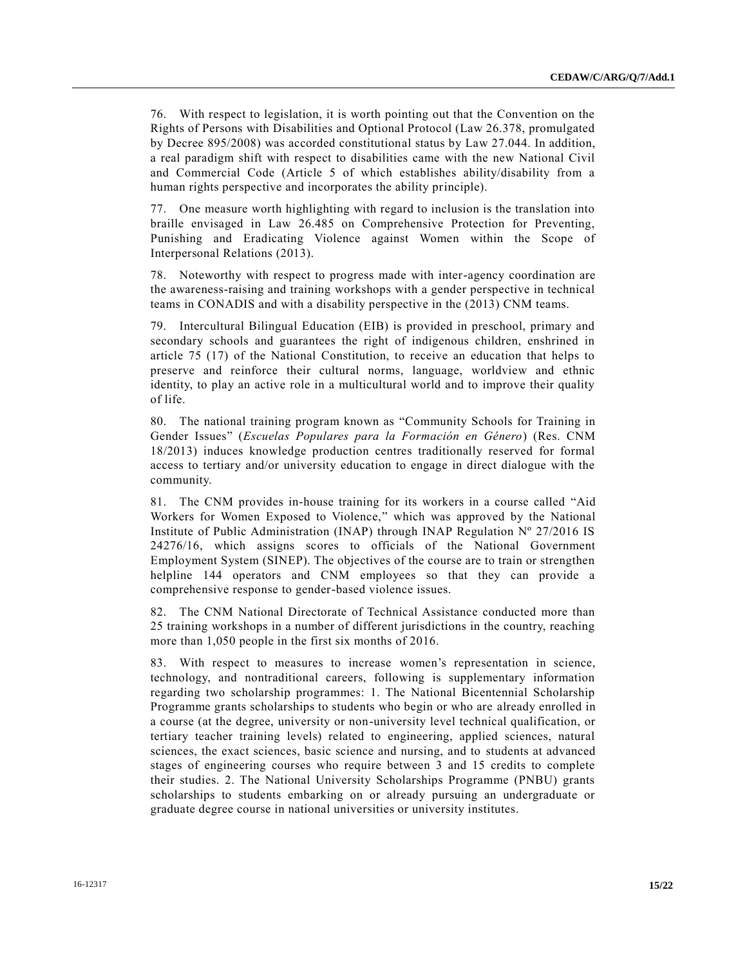76. With respect to legislation, it is worth pointing out that the Convention on the Rights of Persons with Disabilities and Optional Protocol (Law 26.378, promulgated by Decree 895/2008) was accorded constitutional status by Law 27.044. In addition, a real paradigm shift with respect to disabilities came with the new National Civil and Commercial Code (Article 5 of which establishes ability/disability from a human rights perspective and incorporates the ability principle).

77. One measure worth highlighting with regard to inclusion is the translation into braille envisaged in Law 26.485 on Comprehensive Protection for Preventing, Punishing and Eradicating Violence against Women within the Scope of Interpersonal Relations (2013).

78. Noteworthy with respect to progress made with inter-agency coordination are the awareness-raising and training workshops with a gender perspective in technical teams in CONADIS and with a disability perspective in the (2013) CNM teams.

79. Intercultural Bilingual Education (EIB) is provided in preschool, primary and secondary schools and guarantees the right of indigenous children, enshrined in article 75 (17) of the National Constitution, to receive an education that helps to preserve and reinforce their cultural norms, language, worldview and ethnic identity, to play an active role in a multicultural world and to improve their quality of life.

80. The national training program known as "Community Schools for Training in Gender Issues" (*Escuelas Populares para la Formación en Género*) (Res. CNM 18/2013) induces knowledge production centres traditionally reserved for formal access to tertiary and/or university education to engage in direct dialogue with the community.

81. The CNM provides in-house training for its workers in a course called "Aid Workers for Women Exposed to Violence," which was approved by the National Institute of Public Administration (INAP) through INAP Regulation  $N^{\circ}$  27/2016 IS 24276/16, which assigns scores to officials of the National Government Employment System (SINEP). The objectives of the course are to train or strengthen helpline 144 operators and CNM employees so that they can provide a comprehensive response to gender-based violence issues.

82. The CNM National Directorate of Technical Assistance conducted more than 25 training workshops in a number of different jurisdictions in the country, reaching more than 1,050 people in the first six months of 2016.

83. With respect to measures to increase women's representation in science, technology, and nontraditional careers, following is supplementary information regarding two scholarship programmes: 1. The National Bicentennial Scholarship Programme grants scholarships to students who begin or who are already enrolled in a course (at the degree, university or non-university level technical qualification, or tertiary teacher training levels) related to engineering, applied sciences, natural sciences, the exact sciences, basic science and nursing, and to students at advanced stages of engineering courses who require between 3 and 15 credits to complete their studies. 2. The National University Scholarships Programme (PNBU) grants scholarships to students embarking on or already pursuing an undergraduate or graduate degree course in national universities or university institutes.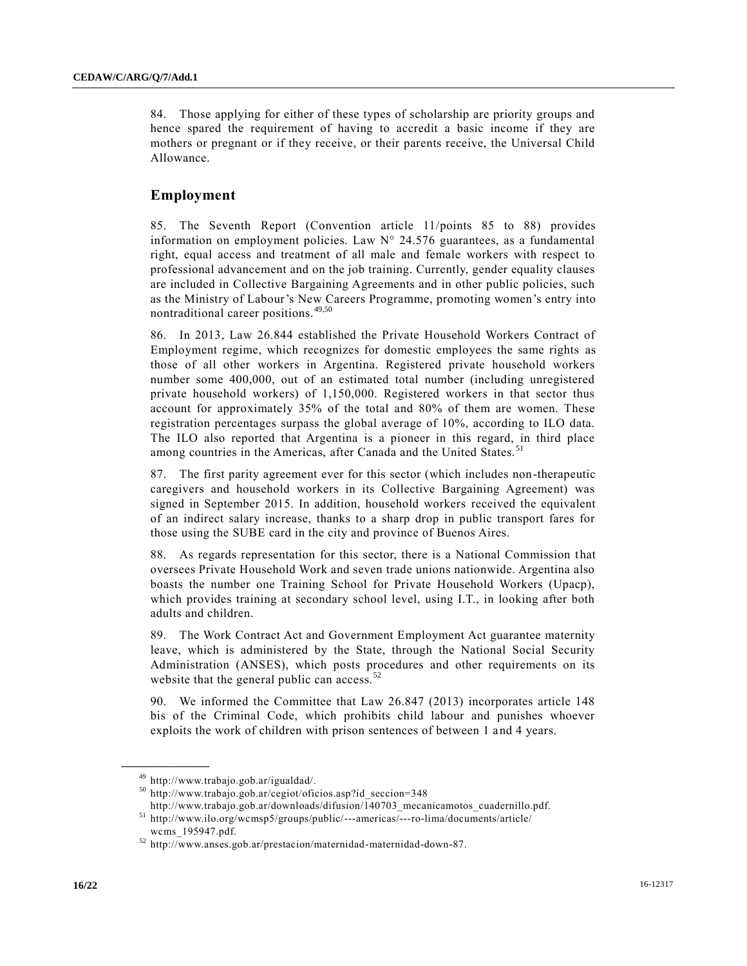84. Those applying for either of these types of scholarship are priority groups and hence spared the requirement of having to accredit a basic income if they are mothers or pregnant or if they receive, or their parents receive, the Universal Child Allowance.

# **Employment**

85. The Seventh Report (Convention article 11/points 85 to 88) provides information on employment policies. Law N° 24.576 guarantees, as a fundamental right, equal access and treatment of all male and female workers with respect to professional advancement and on the job training. Currently, gender equality clauses are included in Collective Bargaining Agreements and in other public policies, such as the Ministry of Labour's New Careers Programme, promoting women's entry into nontraditional career positions.<sup>49,50</sup>

86. In 2013, Law 26.844 established the Private Household Workers Contract of Employment regime, which recognizes for domestic employees the same rights as those of all other workers in Argentina. Registered private household workers number some 400,000, out of an estimated total number (including unregistered private household workers) of 1,150,000. Registered workers in that sector thus account for approximately 35% of the total and 80% of them are women. These registration percentages surpass the global average of 10%, according to ILO data. The ILO also reported that Argentina is a pioneer in this regard, in third place among countries in the Americas, after Canada and the United States.<sup>51</sup>

87. The first parity agreement ever for this sector (which includes non-therapeutic caregivers and household workers in its Collective Bargaining Agreement) was signed in September 2015. In addition, household workers received the equivalent of an indirect salary increase, thanks to a sharp drop in public transport fares for those using the SUBE card in the city and province of Buenos Aires.

88. As regards representation for this sector, there is a National Commission that oversees Private Household Work and seven trade unions nationwide. Argentina also boasts the number one Training School for Private Household Workers (Upacp), which provides training at secondary school level, using I.T., in looking after both adults and children.

89. The Work Contract Act and Government Employment Act guarantee maternity leave, which is administered by the State, through the National Social Security Administration (ANSES), which posts procedures and other requirements on its website that the general public can access. $52$ 

90. We informed the Committee that Law 26.847 (2013) incorporates article 148 bis of the Criminal Code, which prohibits child labour and punishes whoever exploits the work of children with prison sentences of between 1 and 4 years.

<sup>49</sup> http://www.trabajo.gob.ar/igualdad/.

<sup>50</sup> http://www.trabajo.gob.ar/cegiot/oficios.asp?id\_seccion=348

http://www.trabajo.gob.ar/downloads/difusion/140703\_mecanicamotos\_cuadernillo.pdf. <sup>51</sup> http://www.ilo.org/wcmsp5/groups/public/---americas/---ro-lima/documents/article/

wcms\_195947.pdf.

<sup>52</sup> http://www.anses.gob.ar/prestacion/maternidad-maternidad-down-87.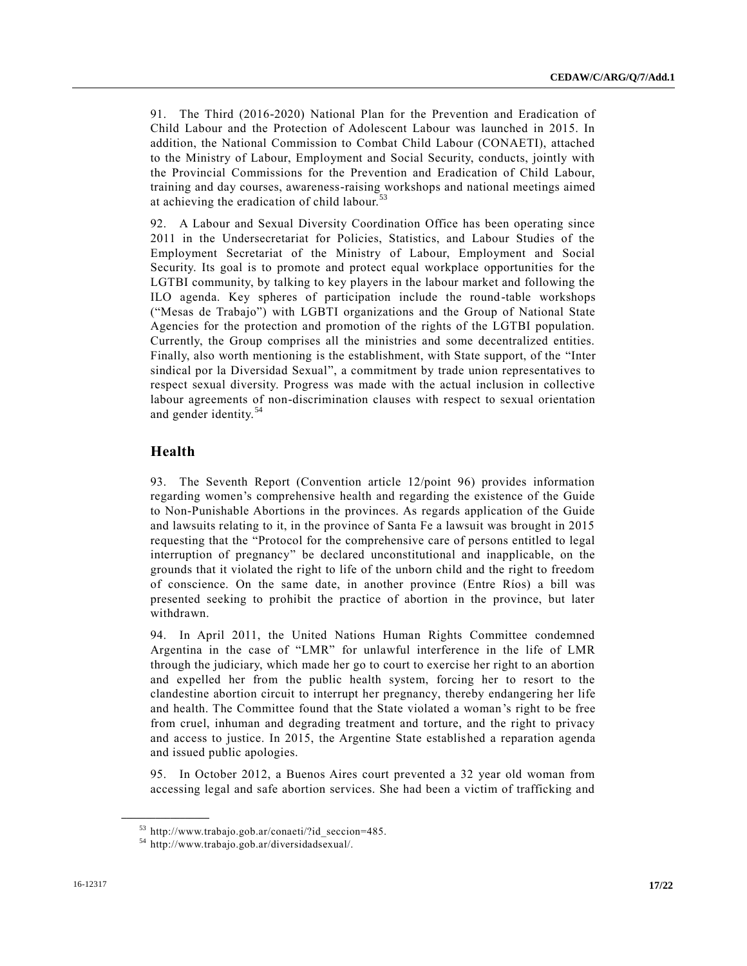91. The Third (2016-2020) National Plan for the Prevention and Eradication of Child Labour and the Protection of Adolescent Labour was launched in 2015. In addition, the National Commission to Combat Child Labour (CONAETI), attached to the Ministry of Labour, Employment and Social Security, conducts, jointly with the Provincial Commissions for the Prevention and Eradication of Child Labour, training and day courses, awareness-raising workshops and national meetings aimed at achieving the eradication of child labour.<sup>53</sup>

92. A Labour and Sexual Diversity Coordination Office has been operating since 2011 in the Undersecretariat for Policies, Statistics, and Labour Studies of the Employment Secretariat of the Ministry of Labour, Employment and Social Security. Its goal is to promote and protect equal workplace opportunities for the LGTBI community, by talking to key players in the labour market and following the ILO agenda. Key spheres of participation include the round-table workshops ("Mesas de Trabajo") with LGBTI organizations and the Group of National State Agencies for the protection and promotion of the rights of the LGTBI population. Currently, the Group comprises all the ministries and some decentralized entities. Finally, also worth mentioning is the establishment, with State support, of the "Inter sindical por la Diversidad Sexual", a commitment by trade union representatives to respect sexual diversity. Progress was made with the actual inclusion in collective labour agreements of non-discrimination clauses with respect to sexual orientation and gender identity.<sup>54</sup>

# **Health**

**\_\_\_\_\_\_\_\_\_\_\_\_\_\_\_\_\_\_**

93. The Seventh Report (Convention article 12/point 96) provides information regarding women's comprehensive health and regarding the existence of the Guide to Non-Punishable Abortions in the provinces. As regards application of the Guide and lawsuits relating to it, in the province of Santa Fe a lawsuit was brought in 2015 requesting that the "Protocol for the comprehensive care of persons entitled to legal interruption of pregnancy" be declared unconstitutional and inapplicable, on the grounds that it violated the right to life of the unborn child and the right to freedom of conscience. On the same date, in another province (Entre Ríos) a bill was presented seeking to prohibit the practice of abortion in the province, but later withdrawn.

94. In April 2011, the United Nations Human Rights Committee condemned Argentina in the case of "LMR" for unlawful interference in the life of LMR through the judiciary, which made her go to court to exercise her right to an abortion and expelled her from the public health system, forcing her to resort to the clandestine abortion circuit to interrupt her pregnancy, thereby endangering her life and health. The Committee found that the State violated a woman's right to be free from cruel, inhuman and degrading treatment and torture, and the right to privacy and access to justice. In 2015, the Argentine State established a reparation agenda and issued public apologies.

95. In October 2012, a Buenos Aires court prevented a 32 year old woman from accessing legal and safe abortion services. She had been a victim of trafficking and

<sup>53</sup> http://www.trabajo.gob.ar/conaeti/?id\_seccion=485.

<sup>54</sup> http://www.trabajo.gob.ar/diversidadsexual/.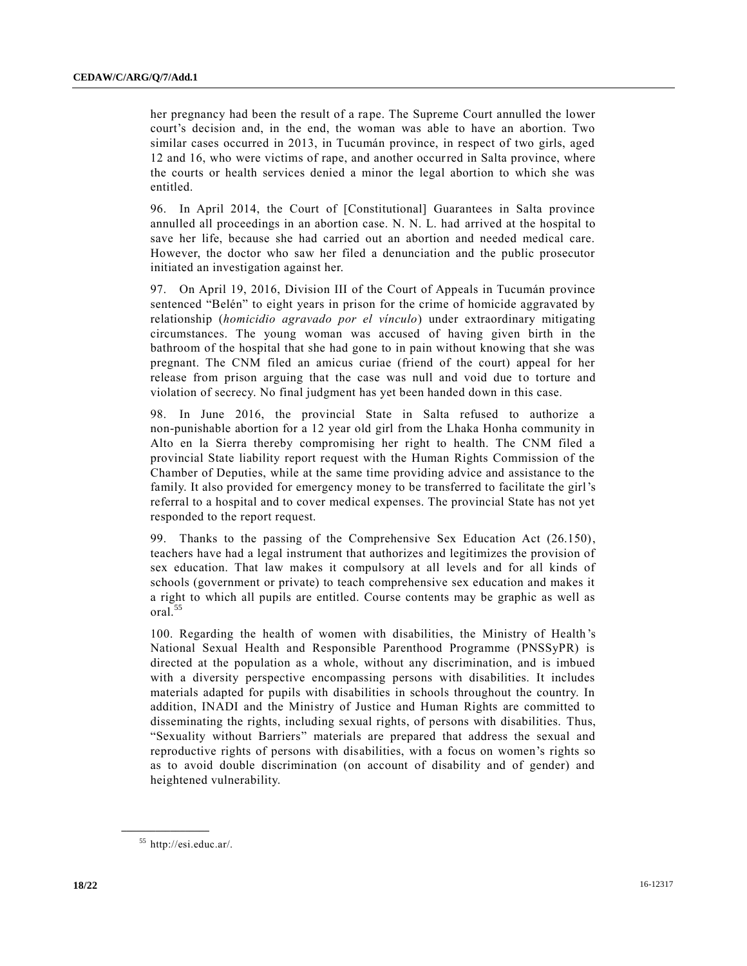her pregnancy had been the result of a rape. The Supreme Court annulled the lower court's decision and, in the end, the woman was able to have an abortion. Two similar cases occurred in 2013, in Tucumán province, in respect of two girls, aged 12 and 16, who were victims of rape, and another occurred in Salta province, where the courts or health services denied a minor the legal abortion to which she was entitled.

96. In April 2014, the Court of [Constitutional] Guarantees in Salta province annulled all proceedings in an abortion case. N. N. L. had arrived at the hospital to save her life, because she had carried out an abortion and needed medical care. However, the doctor who saw her filed a denunciation and the public prosecutor initiated an investigation against her.

97. On April 19, 2016, Division III of the Court of Appeals in Tucumán province sentenced "Belén" to eight years in prison for the crime of homicide aggravated by relationship (*homicidio agravado por el vínculo*) under extraordinary mitigating circumstances. The young woman was accused of having given birth in the bathroom of the hospital that she had gone to in pain without knowing that she was pregnant. The CNM filed an amicus curiae (friend of the court) appeal for her release from prison arguing that the case was null and void due to torture and violation of secrecy. No final judgment has yet been handed down in this case.

98. In June 2016, the provincial State in Salta refused to authorize a non-punishable abortion for a 12 year old girl from the Lhaka Honha community in Alto en la Sierra thereby compromising her right to health. The CNM filed a provincial State liability report request with the Human Rights Commission of the Chamber of Deputies, while at the same time providing advice and assistance to the family. It also provided for emergency money to be transferred to facilitate the girl's referral to a hospital and to cover medical expenses. The provincial State has not yet responded to the report request.

99. Thanks to the passing of the Comprehensive Sex Education Act (26.150), teachers have had a legal instrument that authorizes and legitimizes the provision of sex education. That law makes it compulsory at all levels and for all kinds of schools (government or private) to teach comprehensive sex education and makes it a right to which all pupils are entitled. Course contents may be graphic as well as oral.<sup>55</sup>

100. Regarding the health of women with disabilities, the Ministry of Health 's National Sexual Health and Responsible Parenthood Programme (PNSSyPR) is directed at the population as a whole, without any discrimination, and is imbued with a diversity perspective encompassing persons with disabilities. It includes materials adapted for pupils with disabilities in schools throughout the country. In addition, INADI and the Ministry of Justice and Human Rights are committed to disseminating the rights, including sexual rights, of persons with disabilities. Thus, "Sexuality without Barriers" materials are prepared that address the sexual and reproductive rights of persons with disabilities, with a focus on women's rights so as to avoid double discrimination (on account of disability and of gender) and heightened vulnerability.

<sup>55</sup> http://esi.educ.ar/.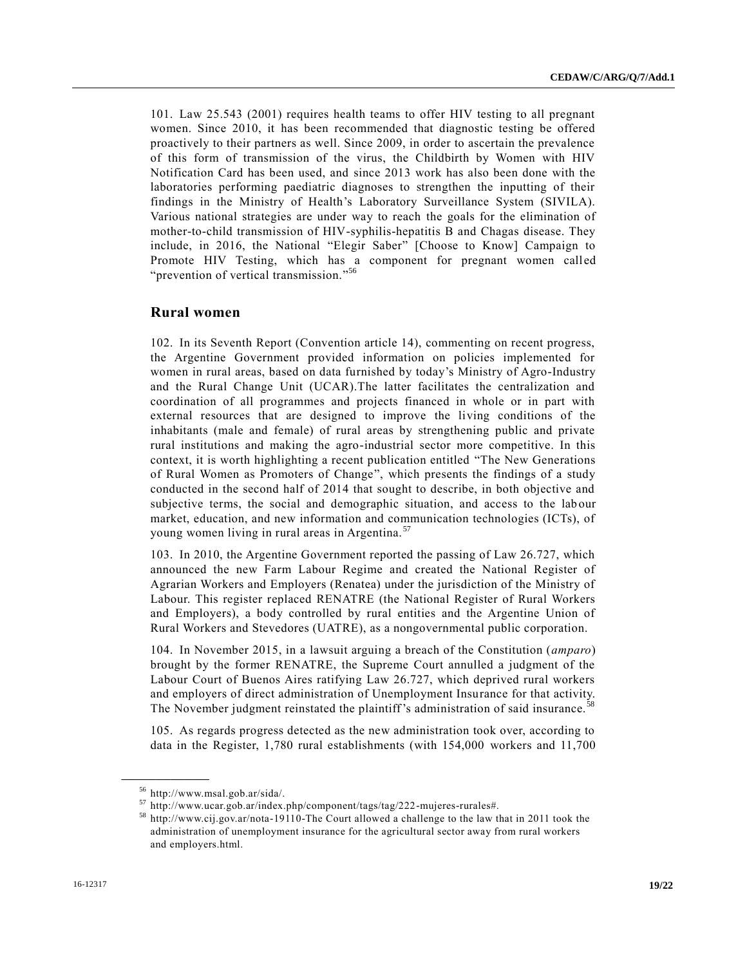101. Law 25.543 (2001) requires health teams to offer HIV testing to all pregnant women. Since 2010, it has been recommended that diagnostic testing be offered proactively to their partners as well. Since 2009, in order to ascertain the prevalence of this form of transmission of the virus, the Childbirth by Women with HIV Notification Card has been used, and since 2013 work has also been done with the laboratories performing paediatric diagnoses to strengthen the inputting of their findings in the Ministry of Health's Laboratory Surveillance System (SIVILA). Various national strategies are under way to reach the goals for the elimination of mother-to-child transmission of HIV-syphilis-hepatitis B and Chagas disease. They include, in 2016, the National "Elegir Saber" [Choose to Know] Campaign to Promote HIV Testing, which has a component for pregnant women called "prevention of vertical transmission."<sup>56</sup>

### **Rural women**

102. In its Seventh Report (Convention article 14), commenting on recent progress, the Argentine Government provided information on policies implemented for women in rural areas, based on data furnished by today's Ministry of Agro-Industry and the Rural Change Unit (UCAR).The latter facilitates the centralization and coordination of all programmes and projects financed in whole or in part with external resources that are designed to improve the living conditions of the inhabitants (male and female) of rural areas by strengthening public and private rural institutions and making the agro-industrial sector more competitive. In this context, it is worth highlighting a recent publication entitled "The New Generations of Rural Women as Promoters of Change", which presents the findings of a study conducted in the second half of 2014 that sought to describe, in both objective and subjective terms, the social and demographic situation, and access to the lab our market, education, and new information and communication technologies (ICTs), of young women living in rural areas in Argentina. <sup>57</sup>

103. In 2010, the Argentine Government reported the passing of Law 26.727, which announced the new Farm Labour Regime and created the National Register of Agrarian Workers and Employers (Renatea) under the jurisdiction of the Ministry of Labour. This register replaced RENATRE (the National Register of Rural Workers and Employers), a body controlled by rural entities and the Argentine Union of Rural Workers and Stevedores (UATRE), as a nongovernmental public corporation.

104. In November 2015, in a lawsuit arguing a breach of the Constitution (*amparo*) brought by the former RENATRE, the Supreme Court annulled a judgment of the Labour Court of Buenos Aires ratifying Law 26.727, which deprived rural workers and employers of direct administration of Unemployment Insurance for that activity. The November judgment reinstated the plaintiff's administration of said insurance.<sup>5</sup>

105. As regards progress detected as the new administration took over, according to data in the Register, 1,780 rural establishments (with 154,000 workers and 11,700

<sup>56</sup> http://www.msal.gob.ar/sida/.

<sup>57</sup> http://www.ucar.gob.ar/index.php/component/tags/tag/222-mujeres-rurales#.

<sup>58</sup> http://www.cij.gov.ar/nota-19110-The Court allowed a challenge to the law that in 2011 took the administration of unemployment insurance for the agricultural sector away from rural workers and employers.html.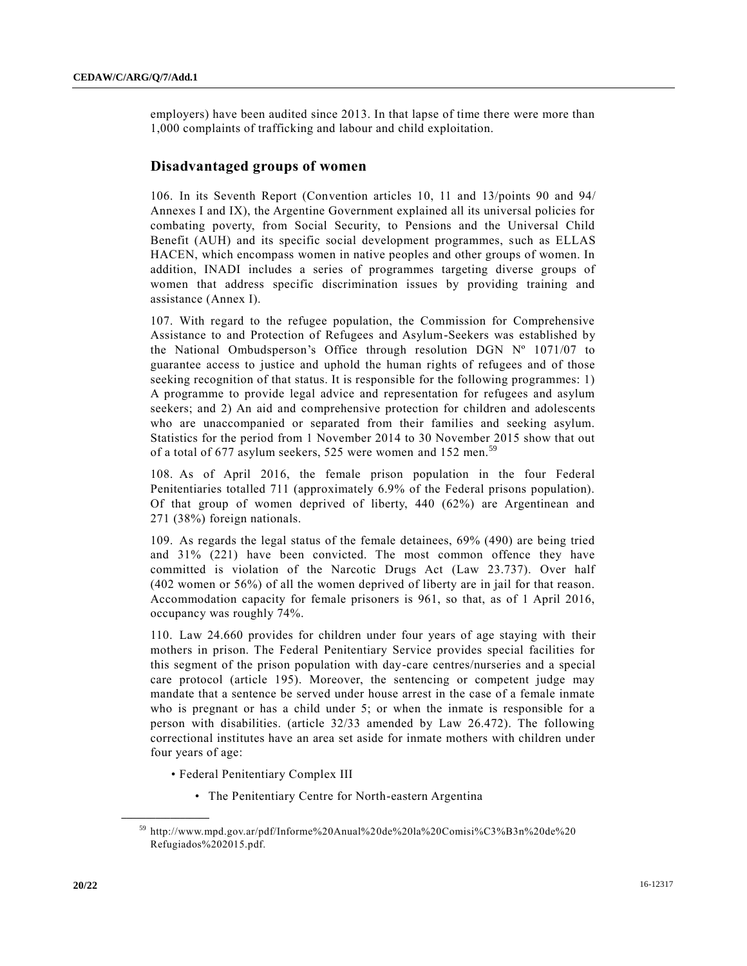employers) have been audited since 2013. In that lapse of time there were more than 1,000 complaints of trafficking and labour and child exploitation.

# **Disadvantaged groups of women**

106. In its Seventh Report (Convention articles 10, 11 and 13/points 90 and 94/ Annexes I and IX), the Argentine Government explained all its universal policies for combating poverty, from Social Security, to Pensions and the Universal Child Benefit (AUH) and its specific social development programmes, such as ELLAS HACEN, which encompass women in native peoples and other groups of women. In addition, INADI includes a series of programmes targeting diverse groups of women that address specific discrimination issues by providing training and assistance (Annex I).

107. With regard to the refugee population, the Commission for Comprehensive Assistance to and Protection of Refugees and Asylum-Seekers was established by the National Ombudsperson's Office through resolution DGN Nº 1071/07 to guarantee access to justice and uphold the human rights of refugees and of those seeking recognition of that status. It is responsible for the following programmes: 1) A programme to provide legal advice and representation for refugees and asylum seekers; and 2) An aid and comprehensive protection for children and adolescents who are unaccompanied or separated from their families and seeking asylum. Statistics for the period from 1 November 2014 to 30 November 2015 show that out of a total of 677 asylum seekers, 525 were women and 152 men.<sup>59</sup>

108. As of April 2016, the female prison population in the four Federal Penitentiaries totalled 711 (approximately 6.9% of the Federal prisons population). Of that group of women deprived of liberty, 440 (62%) are Argentinean and 271 (38%) foreign nationals.

109. As regards the legal status of the female detainees, 69% (490) are being tried and 31% (221) have been convicted. The most common offence they have committed is violation of the Narcotic Drugs Act (Law 23.737). Over half (402 women or 56%) of all the women deprived of liberty are in jail for that reason. Accommodation capacity for female prisoners is 961, so that, as of 1 April 2016, occupancy was roughly 74%.

110. Law 24.660 provides for children under four years of age staying with their mothers in prison. The Federal Penitentiary Service provides special facilities for this segment of the prison population with day-care centres/nurseries and a special care protocol (article 195). Moreover, the sentencing or competent judge may mandate that a sentence be served under house arrest in the case of a female inmate who is pregnant or has a child under 5; or when the inmate is responsible for a person with disabilities. (article 32/33 amended by Law 26.472). The following correctional institutes have an area set aside for inmate mothers with children under four years of age:

- Federal Penitentiary Complex III
	- The Penitentiary Centre for North-eastern Argentina

<sup>59</sup> http://www.mpd.gov.ar/pdf/Informe%20Anual%20de%20la%20Comisi%C3%B3n%20de%20 Refugiados%202015.pdf.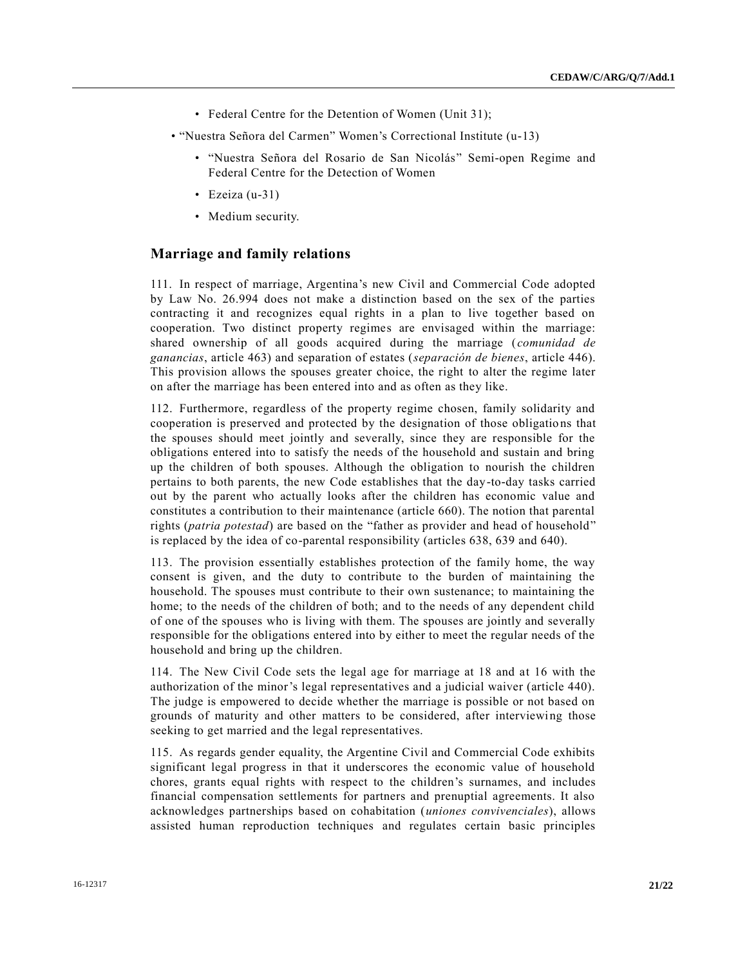- Federal Centre for the Detention of Women (Unit 31);
- "Nuestra Señora del Carmen" Women's Correctional Institute (u-13)
	- "Nuestra Señora del Rosario de San Nicolás" Semi-open Regime and Federal Centre for the Detection of Women
	- Ezeiza (u-31)
	- Medium security.

### **Marriage and family relations**

111. In respect of marriage, Argentina's new Civil and Commercial Code adopted by Law No. 26.994 does not make a distinction based on the sex of the parties contracting it and recognizes equal rights in a plan to live together based on cooperation. Two distinct property regimes are envisaged within the marriage: shared ownership of all goods acquired during the marriage (*comunidad de ganancias*, article 463) and separation of estates (*separación de bienes*, article 446). This provision allows the spouses greater choice, the right to alter the regime later on after the marriage has been entered into and as often as they like.

112. Furthermore, regardless of the property regime chosen, family solidarity and cooperation is preserved and protected by the designation of those obligatio ns that the spouses should meet jointly and severally, since they are responsible for the obligations entered into to satisfy the needs of the household and sustain and bring up the children of both spouses. Although the obligation to nourish the children pertains to both parents, the new Code establishes that the day-to-day tasks carried out by the parent who actually looks after the children has economic value and constitutes a contribution to their maintenance (article 660). The notion that parental rights (*patria potestad*) are based on the "father as provider and head of household" is replaced by the idea of co-parental responsibility (articles 638, 639 and 640).

113. The provision essentially establishes protection of the family home, the way consent is given, and the duty to contribute to the burden of maintaining the household. The spouses must contribute to their own sustenance; to maintaining the home; to the needs of the children of both; and to the needs of any dependent child of one of the spouses who is living with them. The spouses are jointly and severally responsible for the obligations entered into by either to meet the regular needs of the household and bring up the children.

114. The New Civil Code sets the legal age for marriage at 18 and at 16 with the authorization of the minor's legal representatives and a judicial waiver (article 440). The judge is empowered to decide whether the marriage is possible or not based on grounds of maturity and other matters to be considered, after interviewing those seeking to get married and the legal representatives.

115. As regards gender equality, the Argentine Civil and Commercial Code exhibits significant legal progress in that it underscores the economic value of household chores, grants equal rights with respect to the children's surnames, and includes financial compensation settlements for partners and prenuptial agreements. It also acknowledges partnerships based on cohabitation (*uniones convivenciales*), allows assisted human reproduction techniques and regulates certain basic principles